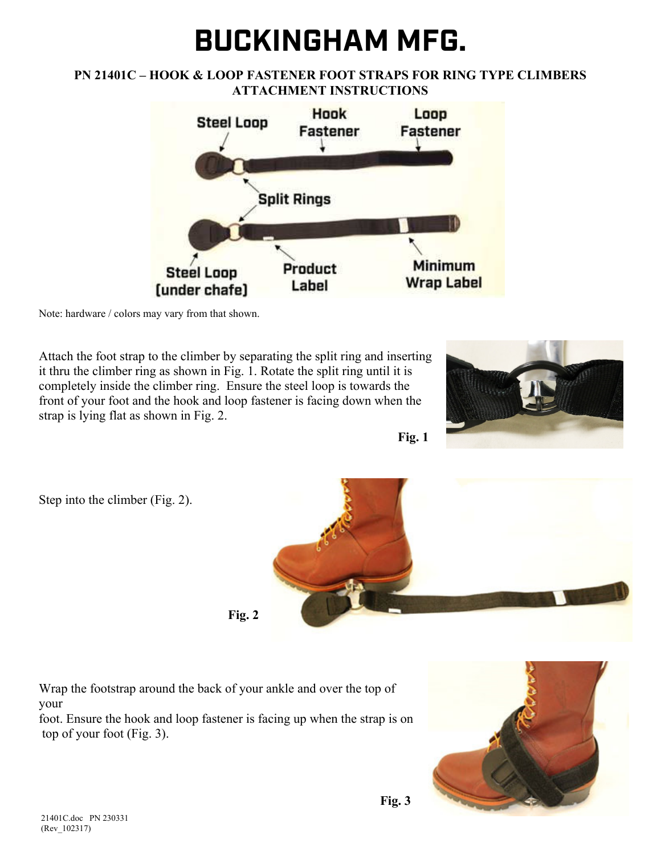## **BUCKINGHAM MFG.**

## **PN 21401C – HOOK & LOOP FASTENER FOOT STRAPS FOR RING TYPE CLIMBERS ATTACHMENT INSTRUCTIONS**



Note: hardware / colors may vary from that shown.

Attach the foot strap to the climber by separating the split ring and inserting it thru the climber ring as shown in Fig. 1. Rotate the split ring until it is completely inside the climber ring. Ensure the steel loop is towards the front of your foot and the hook and loop fastener is facing down when the strap is lying flat as shown in Fig. 2.





Step into the climber (Fig. 2).



Wrap the footstrap around the back of your ankle and over the top of your

foot. Ensure the hook and loop fastener is facing up when the strap is on top of your foot (Fig. 3).



**Fig. 3**